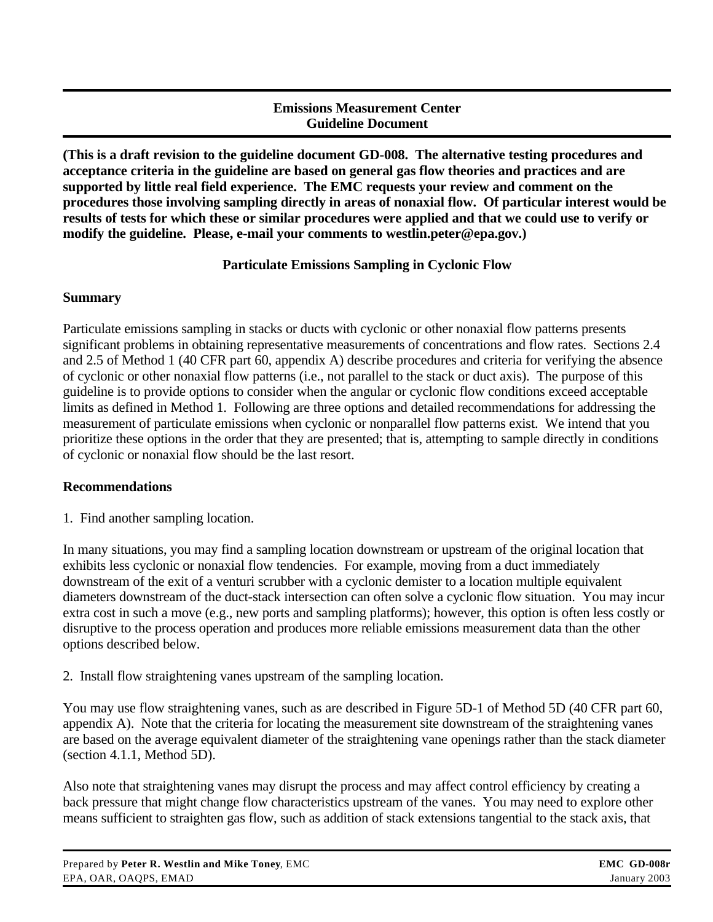### **Emissions Measurement Center Guideline Document**

**(This is a draft revision to the guideline document GD-008. The alternative testing procedures and acceptance criteria in the guideline are based on general gas flow theories and practices and are supported by little real field experience. The EMC requests your review and comment on the procedures those involving sampling directly in areas of nonaxial flow. Of particular interest would be results of tests for which these or similar procedures were applied and that we could use to verify or modify the guideline. Please, e-mail your comments to westlin.peter@epa.gov.)**

# **Particulate Emissions Sampling in Cyclonic Flow**

## **Summary**

Particulate emissions sampling in stacks or ducts with cyclonic or other nonaxial flow patterns presents significant problems in obtaining representative measurements of concentrations and flow rates. Sections 2.4 and 2.5 of Method 1 (40 CFR part 60, appendix A) describe procedures and criteria for verifying the absence of cyclonic or other nonaxial flow patterns (i.e., not parallel to the stack or duct axis). The purpose of this guideline is to provide options to consider when the angular or cyclonic flow conditions exceed acceptable limits as defined in Method 1. Following are three options and detailed recommendations for addressing the measurement of particulate emissions when cyclonic or nonparallel flow patterns exist. We intend that you prioritize these options in the order that they are presented; that is, attempting to sample directly in conditions of cyclonic or nonaxial flow should be the last resort.

## **Recommendations**

1. Find another sampling location.

In many situations, you may find a sampling location downstream or upstream of the original location that exhibits less cyclonic or nonaxial flow tendencies. For example, moving from a duct immediately downstream of the exit of a venturi scrubber with a cyclonic demister to a location multiple equivalent diameters downstream of the duct-stack intersection can often solve a cyclonic flow situation. You may incur extra cost in such a move (e.g., new ports and sampling platforms); however, this option is often less costly or disruptive to the process operation and produces more reliable emissions measurement data than the other options described below.

2. Install flow straightening vanes upstream of the sampling location.

You may use flow straightening vanes, such as are described in Figure 5D-1 of Method 5D (40 CFR part 60, appendix A). Note that the criteria for locating the measurement site downstream of the straightening vanes are based on the average equivalent diameter of the straightening vane openings rather than the stack diameter (section 4.1.1, Method 5D).

Also note that straightening vanes may disrupt the process and may affect control efficiency by creating a back pressure that might change flow characteristics upstream of the vanes. You may need to explore other means sufficient to straighten gas flow, such as addition of stack extensions tangential to the stack axis, that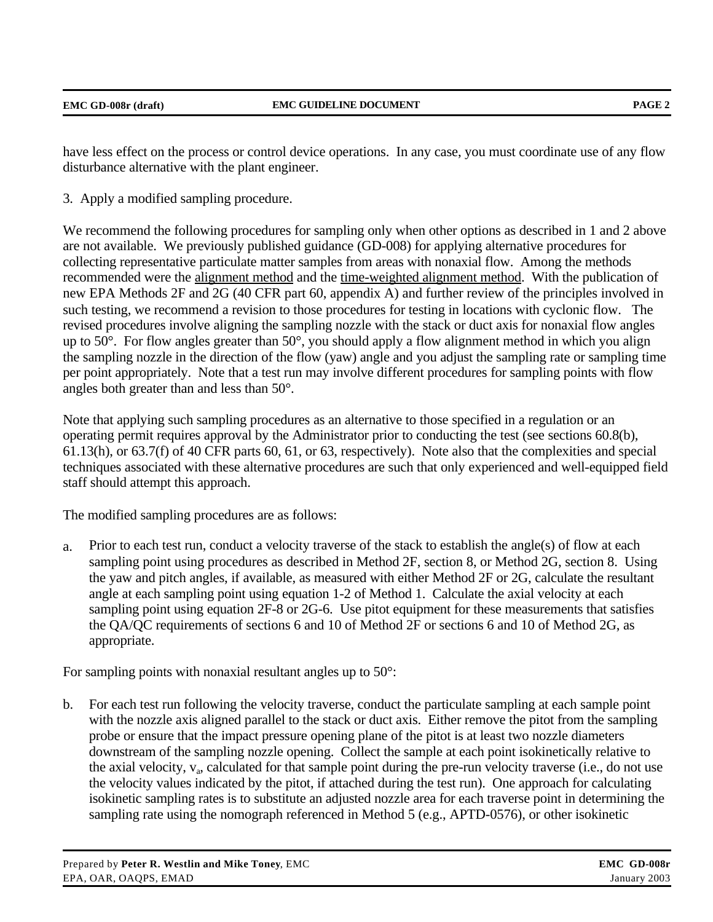| EMC GD-008r (draft) | <b>EMC GUIDELINE DOCUMENT</b> | PAGE <sub>2</sub> |
|---------------------|-------------------------------|-------------------|
|                     |                               |                   |

have less effect on the process or control device operations. In any case, you must coordinate use of any flow disturbance alternative with the plant engineer.

3. Apply a modified sampling procedure.

We recommend the following procedures for sampling only when other options as described in 1 and 2 above are not available. We previously published guidance (GD-008) for applying alternative procedures for collecting representative particulate matter samples from areas with nonaxial flow. Among the methods recommended were the alignment method and the time-weighted alignment method. With the publication of new EPA Methods 2F and 2G (40 CFR part 60, appendix A) and further review of the principles involved in such testing, we recommend a revision to those procedures for testing in locations with cyclonic flow. The revised procedures involve aligning the sampling nozzle with the stack or duct axis for nonaxial flow angles up to 50°. For flow angles greater than 50°, you should apply a flow alignment method in which you align the sampling nozzle in the direction of the flow (yaw) angle and you adjust the sampling rate or sampling time per point appropriately. Note that a test run may involve different procedures for sampling points with flow angles both greater than and less than 50°.

Note that applying such sampling procedures as an alternative to those specified in a regulation or an operating permit requires approval by the Administrator prior to conducting the test (see sections 60.8(b), 61.13(h), or 63.7(f) of 40 CFR parts 60, 61, or 63, respectively). Note also that the complexities and special techniques associated with these alternative procedures are such that only experienced and well-equipped field staff should attempt this approach.

The modified sampling procedures are as follows:

a. Prior to each test run, conduct a velocity traverse of the stack to establish the angle(s) of flow at each sampling point using procedures as described in Method 2F, section 8, or Method 2G, section 8. Using the yaw and pitch angles, if available, as measured with either Method 2F or 2G, calculate the resultant angle at each sampling point using equation 1-2 of Method 1. Calculate the axial velocity at each sampling point using equation 2F-8 or 2G-6. Use pitot equipment for these measurements that satisfies the QA/QC requirements of sections 6 and 10 of Method 2F or sections 6 and 10 of Method 2G, as appropriate.

For sampling points with nonaxial resultant angles up to 50°:

b. For each test run following the velocity traverse, conduct the particulate sampling at each sample point with the nozzle axis aligned parallel to the stack or duct axis. Either remove the pitot from the sampling probe or ensure that the impact pressure opening plane of the pitot is at least two nozzle diameters downstream of the sampling nozzle opening. Collect the sample at each point isokinetically relative to the axial velocity,  $v_a$ , calculated for that sample point during the pre-run velocity traverse (i.e., do not use the velocity values indicated by the pitot, if attached during the test run). One approach for calculating isokinetic sampling rates is to substitute an adjusted nozzle area for each traverse point in determining the sampling rate using the nomograph referenced in Method 5 (e.g., APTD-0576), or other isokinetic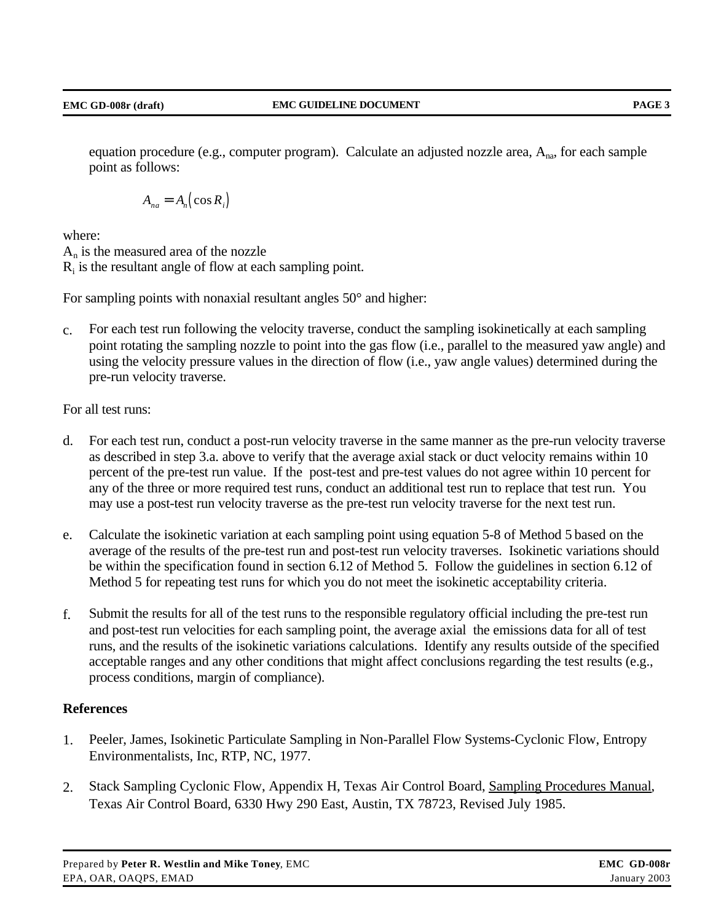equation procedure (e.g., computer program). Calculate an adjusted nozzle area,  $A_{na}$ , for each sample point as follows:

$$
A_{na} = A_n \big( \cos R_i \big)
$$

where:

 $A_n$  is the measured area of the nozzle  $R_i$  is the resultant angle of flow at each sampling point.

For sampling points with nonaxial resultant angles 50° and higher:

c. For each test run following the velocity traverse, conduct the sampling isokinetically at each sampling point rotating the sampling nozzle to point into the gas flow (i.e., parallel to the measured yaw angle) and using the velocity pressure values in the direction of flow (i.e., yaw angle values) determined during the pre-run velocity traverse.

For all test runs:

- d. For each test run, conduct a post-run velocity traverse in the same manner as the pre-run velocity traverse as described in step 3.a. above to verify that the average axial stack or duct velocity remains within 10 percent of the pre-test run value. If the post-test and pre-test values do not agree within 10 percent for any of the three or more required test runs, conduct an additional test run to replace that test run. You may use a post-test run velocity traverse as the pre-test run velocity traverse for the next test run.
- e. Calculate the isokinetic variation at each sampling point using equation 5-8 of Method 5 based on the average of the results of the pre-test run and post-test run velocity traverses. Isokinetic variations should be within the specification found in section 6.12 of Method 5. Follow the guidelines in section 6.12 of Method 5 for repeating test runs for which you do not meet the isokinetic acceptability criteria.
- f. Submit the results for all of the test runs to the responsible regulatory official including the pre-test run and post-test run velocities for each sampling point, the average axial the emissions data for all of test runs, and the results of the isokinetic variations calculations. Identify any results outside of the specified acceptable ranges and any other conditions that might affect conclusions regarding the test results (e.g., process conditions, margin of compliance).

## **References**

- 1. Peeler, James, Isokinetic Particulate Sampling in Non-Parallel Flow Systems-Cyclonic Flow, Entropy Environmentalists, Inc, RTP, NC, 1977.
- 2. Stack Sampling Cyclonic Flow, Appendix H, Texas Air Control Board, Sampling Procedures Manual, Texas Air Control Board, 6330 Hwy 290 East, Austin, TX 78723, Revised July 1985.